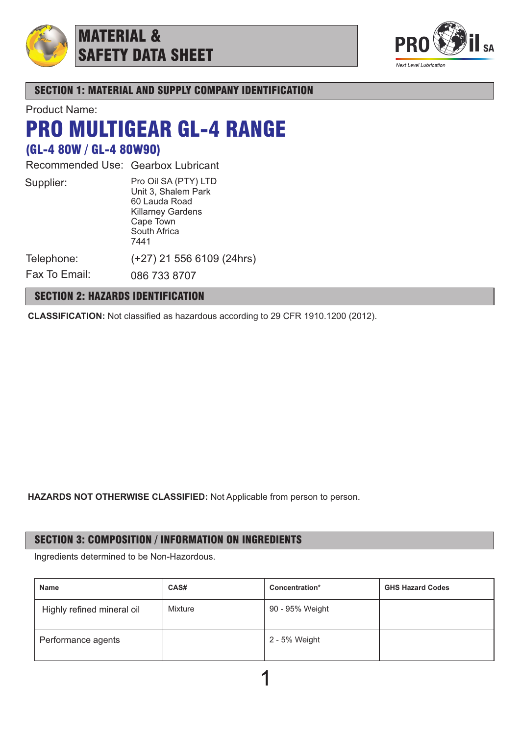

# MATERIAL & SAFETY DATA SHEET



SECTION 1: MATERIAL AND SUPPLY COMPANY IDENTIFICATION

Product Name:

# PRO MULTIGEAR GL-4 RANGE

# (GL-4 80W / GL-4 80W90)

Recommended Use: Gearbox Lubricant

| Supplier:  | Pro Oil SA (PTY) LTD<br>Unit 3, Shalem Park<br>60 Lauda Road<br><b>Killarney Gardens</b><br>Cape Town<br>South Africa<br>7441 |
|------------|-------------------------------------------------------------------------------------------------------------------------------|
| Telephone: | (+27) 21 556 6109                                                                                                             |

6109 (24hrs)

Fax To Email: 086 733 8707

# SECTION 2: HAZARDS IDENTIFICATION

**CLASSIFICATION:** Not classified as hazardous according to 29 CFR 1910.1200 (2012).

**HAZARDS NOT OTHERWISE CLASSIFIED:** Not Applicable from person to person.

# SECTION 3: COMPOSITION / INFORMATION ON INGREDIENTS

Ingredients determined to be Non-Hazordous.

| <b>Name</b>                | CAS#    | Concentration*  | <b>GHS Hazard Codes</b> |
|----------------------------|---------|-----------------|-------------------------|
| Highly refined mineral oil | Mixture | 90 - 95% Weight |                         |
| Performance agents         |         | 2 - 5% Weight   |                         |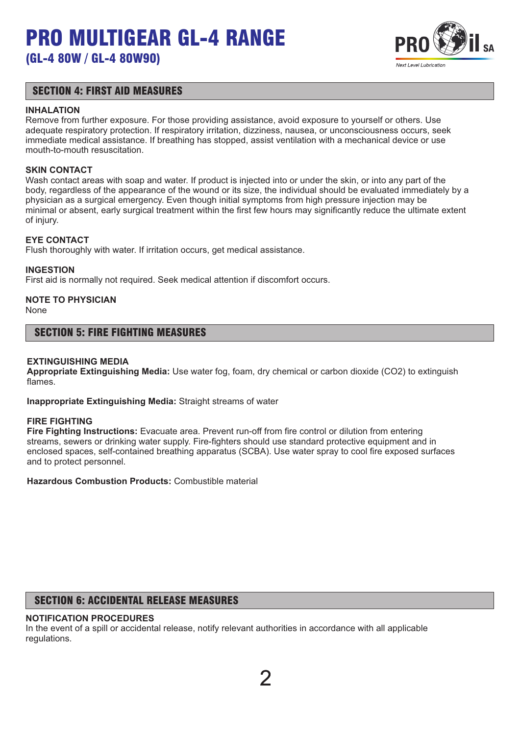

### SECTION 4: FIRST AID MEASURES

#### **INHALATION**

Remove from further exposure. For those providing assistance, avoid exposure to yourself or others. Use adequate respiratory protection. If respiratory irritation, dizziness, nausea, or unconsciousness occurs, seek immediate medical assistance. If breathing has stopped, assist ventilation with a mechanical device or use mouth-to-mouth resuscitation.

#### **SKIN CONTACT**

Wash contact areas with soap and water. If product is injected into or under the skin, or into any part of the body, regardless of the appearance of the wound or its size, the individual should be evaluated immediately by a physician as a surgical emergency. Even though initial symptoms from high pressure injection may be minimal or absent, early surgical treatment within the first few hours may significantly reduce the ultimate extent of injury.

#### **EYE CONTACT**

Flush thoroughly with water. If irritation occurs, get medical assistance.

#### **INGESTION**

First aid is normally not required. Seek medical attention if discomfort occurs.

# **NOTE TO PHYSICIAN**

None

#### SECTION 5: FIRE FIGHTING MEASURES

#### **EXTINGUISHING MEDIA**

**Appropriate Extinguishing Media:** Use water fog, foam, dry chemical or carbon dioxide (CO2) to extinguish flames.

**Inappropriate Extinguishing Media:** Straight streams of water

#### **FIRE FIGHTING**

**Fire Fighting Instructions:** Evacuate area. Prevent run-off from fire control or dilution from entering streams, sewers or drinking water supply. Fire-fighters should use standard protective equipment and in enclosed spaces, self-contained breathing apparatus (SCBA). Use water spray to cool fire exposed surfaces and to protect personnel.

**Hazardous Combustion Products:** Combustible material

# SECTION 6: ACCIDENTAL RELEASE MEASURES

#### **NOTIFICATION PROCEDURES**

In the event of a spill or accidental release, notify relevant authorities in accordance with all applicable regulations.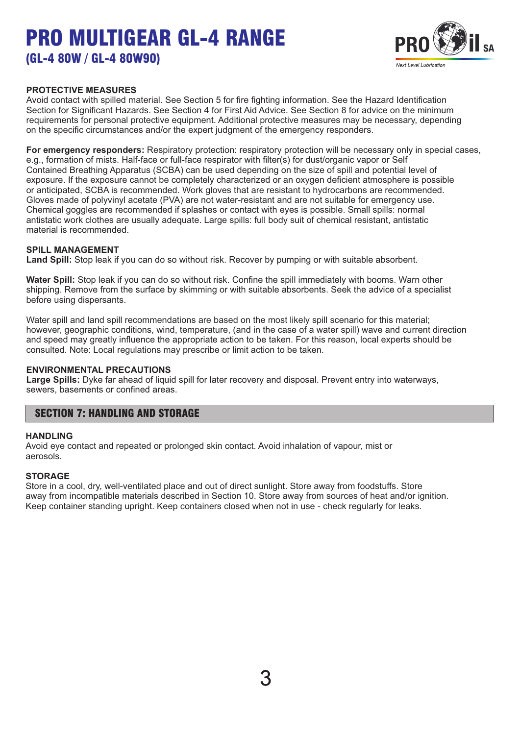

#### **PROTECTIVE MEASURES**

Avoid contact with spilled material. See Section 5 for fire fighting information. See the Hazard Identification Section for Significant Hazards. See Section 4 for First Aid Advice. See Section 8 for advice on the minimum requirements for personal protective equipment. Additional protective measures may be necessary, depending on the specific circumstances and/or the expert judgment of the emergency responders.

**For emergency responders:** Respiratory protection: respiratory protection will be necessary only in special cases, e.g., formation of mists. Half-face or full-face respirator with filter(s) for dust/organic vapor or Self Contained Breathing Apparatus (SCBA) can be used depending on the size of spill and potential level of exposure. If the exposure cannot be completely characterized or an oxygen deficient atmosphere is possible or anticipated, SCBA is recommended. Work gloves that are resistant to hydrocarbons are recommended. Gloves made of polyvinyl acetate (PVA) are not water-resistant and are not suitable for emergency use. Chemical goggles are recommended if splashes or contact with eyes is possible. Small spills: normal antistatic work clothes are usually adequate. Large spills: full body suit of chemical resistant, antistatic material is recommended.

#### **SPILL MANAGEMENT**

**Land Spill:** Stop leak if you can do so without risk. Recover by pumping or with suitable absorbent.

**Water Spill:** Stop leak if you can do so without risk. Confine the spill immediately with booms. Warn other shipping. Remove from the surface by skimming or with suitable absorbents. Seek the advice of a specialist before using dispersants.

Water spill and land spill recommendations are based on the most likely spill scenario for this material; however, geographic conditions, wind, temperature, (and in the case of a water spill) wave and current direction and speed may greatly influence the appropriate action to be taken. For this reason, local experts should be consulted. Note: Local regulations may prescribe or limit action to be taken.

#### **ENVIRONMENTAL PRECAUTIONS**

**Large Spills:** Dyke far ahead of liquid spill for later recovery and disposal. Prevent entry into waterways, sewers, basements or confined areas.

### SECTION 7: HANDLING AND STORAGE

#### **HANDLING**

Avoid eye contact and repeated or prolonged skin contact. Avoid inhalation of vapour, mist or aerosols.

#### **STORAGE**

Store in a cool, dry, well-ventilated place and out of direct sunlight. Store away from foodstuffs. Store away from incompatible materials described in Section 10. Store away from sources of heat and/or ignition. Keep container standing upright. Keep containers closed when not in use - check regularly for leaks.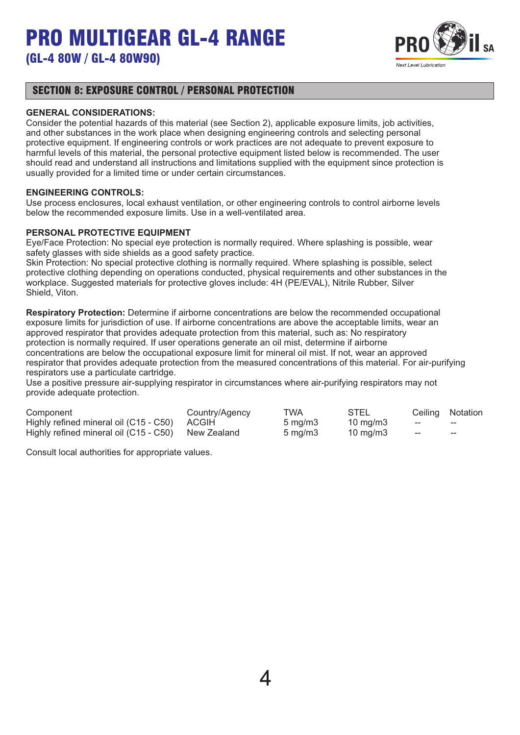

### SECTION 8: EXPOSURE CONTROL / PERSONAL PROTECTION

#### **GENERAL CONSIDERATIONS:**

Consider the potential hazards of this material (see Section 2), applicable exposure limits, job activities, and other substances in the work place when designing engineering controls and selecting personal protective equipment. If engineering controls or work practices are not adequate to prevent exposure to harmful levels of this material, the personal protective equipment listed below is recommended. The user should read and understand all instructions and limitations supplied with the equipment since protection is usually provided for a limited time or under certain circumstances.

#### **ENGINEERING CONTROLS:**

Use process enclosures, local exhaust ventilation, or other engineering controls to control airborne levels below the recommended exposure limits. Use in a well-ventilated area.

#### **PERSONAL PROTECTIVE EQUIPMENT**

Eye/Face Protection: No special eye protection is normally required. Where splashing is possible, wear safety glasses with side shields as a good safety practice.

Skin Protection: No special protective clothing is normally required. Where splashing is possible, select protective clothing depending on operations conducted, physical requirements and other substances in the workplace. Suggested materials for protective gloves include: 4H (PE/EVAL), Nitrile Rubber, Silver Shield, Viton.

**Respiratory Protection:** Determine if airborne concentrations are below the recommended occupational exposure limits for jurisdiction of use. If airborne concentrations are above the acceptable limits, wear an approved respirator that provides adequate protection from this material, such as: No respiratory protection is normally required. If user operations generate an oil mist, determine if airborne concentrations are below the occupational exposure limit for mineral oil mist. If not, wear an approved respirator that provides adequate protection from the measured concentrations of this material. For air-purifying respirators use a particulate cartridge.

Use a positive pressure air-supplying respirator in circumstances where air-purifying respirators may not provide adequate protection.

| Component                                          | Country/Agency | TWA                 | <b>STEL</b>         |       | Ceiling Notation  |
|----------------------------------------------------|----------------|---------------------|---------------------|-------|-------------------|
| Highly refined mineral oil (C15 - C50) ACGIH       |                | $5 \,\mathrm{mq/m}$ | $10 \text{ ma/m}$ 3 | $- -$ | $- -$             |
| Highly refined mineral oil (C15 - C50) New Zealand |                | $5 \text{ ma/m}$ 3  | $10 \text{ ma/m}$ 3 | $- -$ | $\hspace{0.05cm}$ |

Consult local authorities for appropriate values.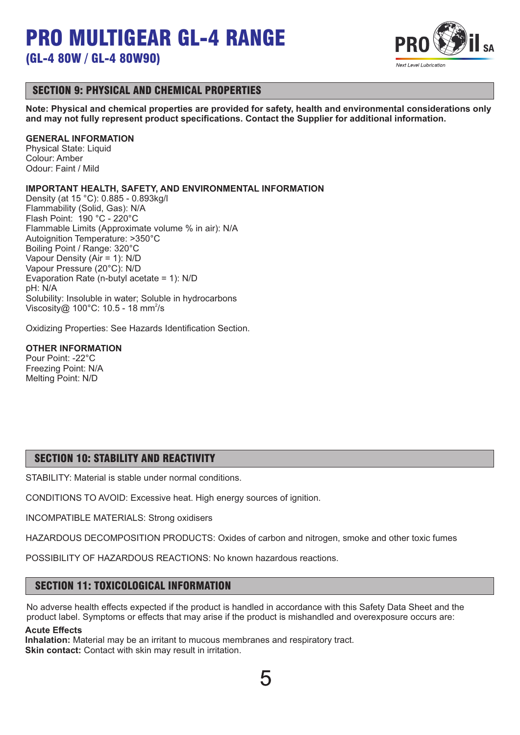

### SECTION 9: PHYSICAL AND CHEMICAL PROPERTIES

**Note: Physical and chemical properties are provided for safety, health and environmental considerations only and may not fully represent product specifications. Contact the Supplier for additional information.**

#### **GENERAL INFORMATION**

Physical State: Liquid Colour: Amber Odour: Faint / Mild

#### **IMPORTANT HEALTH, SAFETY, AND ENVIRONMENTAL INFORMATION**

Density (at 15 °C): 0.885 - 0.893kg/l Flammability (Solid, Gas): N/A Flash Point: 190 °C - 220°C Flammable Limits (Approximate volume % in air): N/A Autoignition Temperature: >350°C Boiling Point / Range: 320°C Vapour Density (Air = 1): N/D Vapour Pressure (20°C): N/D Evaporation Rate (n-butyl acetate = 1): N/D pH: N/A Solubility: Insoluble in water; Soluble in hydrocarbons Viscosity@ 100°C: 10.5 - 18 mm<sup>2</sup>/s

Oxidizing Properties: See Hazards Identification Section.

#### **OTHER INFORMATION**

Pour Point: -22°C Freezing Point: N/A Melting Point: N/D

# SECTION 10: STABILITY AND REACTIVITY

STABILITY: Material is stable under normal conditions.

CONDITIONS TO AVOID: Excessive heat. High energy sources of ignition.

INCOMPATIBLE MATERIALS: Strong oxidisers

HAZARDOUS DECOMPOSITION PRODUCTS: Oxides of carbon and nitrogen, smoke and other toxic fumes

POSSIBILITY OF HAZARDOUS REACTIONS: No known hazardous reactions.

### SECTION 11: TOXICOLOGICAL INFORMATION

No adverse health effects expected if the product is handled in accordance with this Safety Data Sheet and the product label. Symptoms or effects that may arise if the product is mishandled and overexposure occurs are:

#### **Acute Effects**

**Inhalation:** Material may be an irritant to mucous membranes and respiratory tract. **Skin contact:** Contact with skin may result in irritation.

5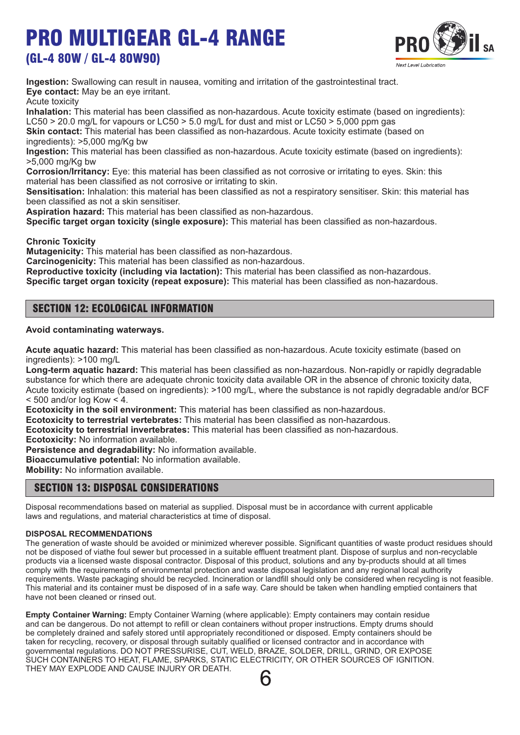# PRO MULTIGEAR GL-4 RANGE

# (GL-4 80W / GL-4 80W90)



**Ingestion:** Swallowing can result in nausea, vomiting and irritation of the gastrointestinal tract. **Eye contact:** May be an eye irritant.

Acute toxicity

**Inhalation:** This material has been classified as non-hazardous. Acute toxicity estimate (based on ingredients): LC50  $>$  20.0 mg/L for vapours or LC50  $>$  5.0 mg/L for dust and mist or LC50  $>$  5,000 ppm gas

**Skin contact:** This material has been classified as non-hazardous. Acute toxicity estimate (based on ingredients): >5,000 mg/Kg bw

**Ingestion:** This material has been classified as non-hazardous. Acute toxicity estimate (based on ingredients): >5,000 mg/Kg bw

**Corrosion/Irritancy:** Eye: this material has been classified as not corrosive or irritating to eyes. Skin: this material has been classified as not corrosive or irritating to skin.

**Sensitisation:** Inhalation: this material has been classified as not a respiratory sensitiser. Skin: this material has been classified as not a skin sensitiser.

**Aspiration hazard:** This material has been classified as non-hazardous.

**Specific target organ toxicity (single exposure):** This material has been classified as non-hazardous.

**Chronic Toxicity**

**Mutagenicity:** This material has been classified as non-hazardous.

**Carcinogenicity:** This material has been classified as non-hazardous.

**Reproductive toxicity (including via lactation):** This material has been classified as non-hazardous.

**Specific target organ toxicity (repeat exposure):** This material has been classified as non-hazardous.

### SECTION 12: ECOLOGICAL INFORMATION

#### **Avoid contaminating waterways.**

**Acute aquatic hazard:** This material has been classified as non-hazardous. Acute toxicity estimate (based on ingredients): >100 mg/L

**Long-term aquatic hazard:** This material has been classified as non-hazardous. Non-rapidly or rapidly degradable substance for which there are adequate chronic toxicity data available OR in the absence of chronic toxicity data, Acute toxicity estimate (based on ingredients): >100 mg/L, where the substance is not rapidly degradable and/or BCF  $<$  500 and/or log Kow  $<$  4.

**Ecotoxicity in the soil environment:** This material has been classified as non-hazardous.

**Ecotoxicity to terrestrial vertebrates:** This material has been classified as non-hazardous.

**Ecotoxicity to terrestrial invertebrates:** This material has been classified as non-hazardous.

**Ecotoxicity:** No information available.

**Persistence and degradability:** No information available.

**Bioaccumulative potential:** No information available.

**Mobility:** No information available.

### SECTION 13: DISPOSAL CONSIDERATIONS

Disposal recommendations based on material as supplied. Disposal must be in accordance with current applicable laws and regulations, and material characteristics at time of disposal.

#### **DISPOSAL RECOMMENDATIONS**

The generation of waste should be avoided or minimized wherever possible. Significant quantities of waste product residues should not be disposed of viathe foul sewer but processed in a suitable effluent treatment plant. Dispose of surplus and non-recyclable products via a licensed waste disposal contractor. Disposal of this product, solutions and any by-products should at all times comply with the requirements of environmental protection and waste disposal legislation and any regional local authority requirements. Waste packaging should be recycled. Incineration or landfill should only be considered when recycling is not feasible. This material and its container must be disposed of in a safe way. Care should be taken when handling emptied containers that have not been cleaned or rinsed out.

**Empty Container Warning:** Empty Container Warning (where applicable): Empty containers may contain residue and can be dangerous. Do not attempt to refill or clean containers without proper instructions. Empty drums should be completely drained and safely stored until appropriately reconditioned or disposed. Empty containers should be taken for recycling, recovery, or disposal through suitably qualified or licensed contractor and in accordance with governmental regulations. DO NOT PRESSURISE, CUT, WELD, BRAZE, SOLDER, DRILL, GRIND, OR EXPOSE SUCH CONTAINERS TO HEAT, FLAME, SPARKS, STATIC ELECTRICITY, OR OTHER SOURCES OF IGNITION. THEY MAY EXPLODE AND CAUSE INJURY OR DEATH.